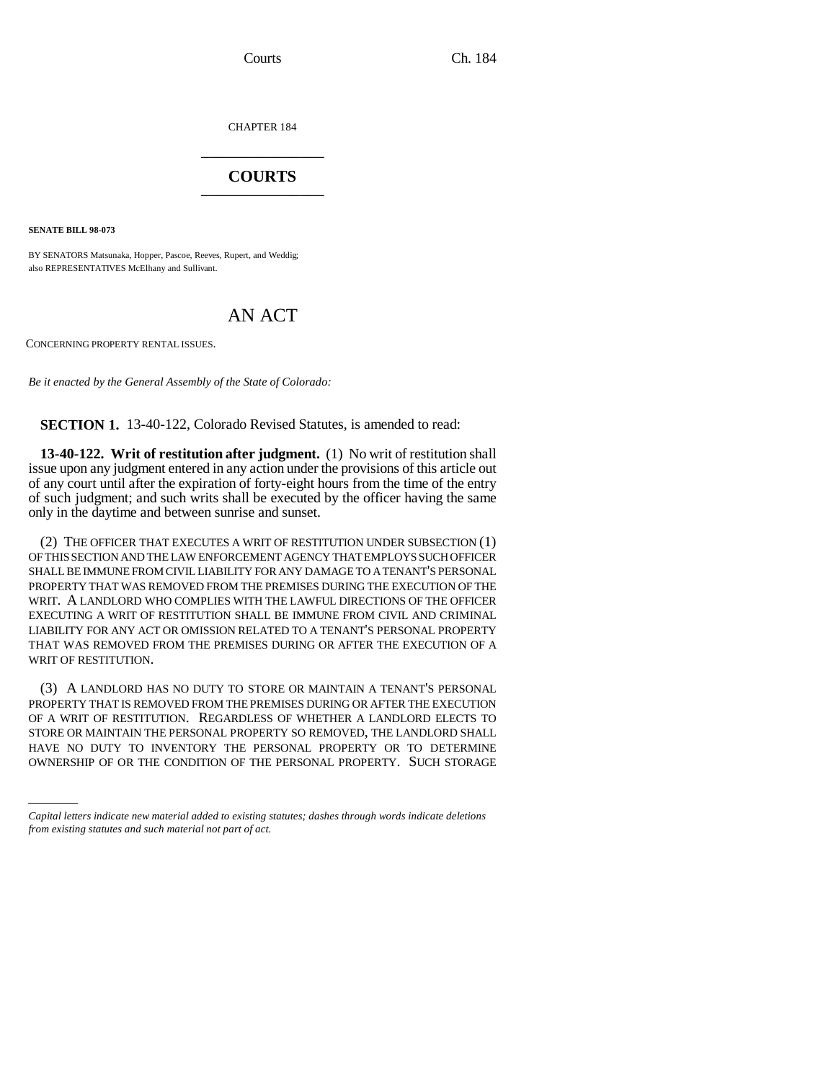CHAPTER 184 \_\_\_\_\_\_\_\_\_\_\_\_\_\_\_

## **COURTS** \_\_\_\_\_\_\_\_\_\_\_\_\_\_\_

**SENATE BILL 98-073**

BY SENATORS Matsunaka, Hopper, Pascoe, Reeves, Rupert, and Weddig; also REPRESENTATIVES McElhany and Sullivant.

## AN ACT

CONCERNING PROPERTY RENTAL ISSUES.

*Be it enacted by the General Assembly of the State of Colorado:*

**SECTION 1.** 13-40-122, Colorado Revised Statutes, is amended to read:

**13-40-122. Writ of restitution after judgment.** (1) No writ of restitution shall issue upon any judgment entered in any action under the provisions of this article out of any court until after the expiration of forty-eight hours from the time of the entry of such judgment; and such writs shall be executed by the officer having the same only in the daytime and between sunrise and sunset.

(2) THE OFFICER THAT EXECUTES A WRIT OF RESTITUTION UNDER SUBSECTION (1) OF THIS SECTION AND THE LAW ENFORCEMENT AGENCY THAT EMPLOYS SUCH OFFICER SHALL BE IMMUNE FROM CIVIL LIABILITY FOR ANY DAMAGE TO A TENANT'S PERSONAL PROPERTY THAT WAS REMOVED FROM THE PREMISES DURING THE EXECUTION OF THE WRIT. A LANDLORD WHO COMPLIES WITH THE LAWFUL DIRECTIONS OF THE OFFICER EXECUTING A WRIT OF RESTITUTION SHALL BE IMMUNE FROM CIVIL AND CRIMINAL LIABILITY FOR ANY ACT OR OMISSION RELATED TO A TENANT'S PERSONAL PROPERTY THAT WAS REMOVED FROM THE PREMISES DURING OR AFTER THE EXECUTION OF A WRIT OF RESTITUTION.

OWNERSHIP OF OR THE CONDITION OF THE PERSONAL PROPERTY. SUCH STORAGE(3) A LANDLORD HAS NO DUTY TO STORE OR MAINTAIN A TENANT'S PERSONAL PROPERTY THAT IS REMOVED FROM THE PREMISES DURING OR AFTER THE EXECUTION OF A WRIT OF RESTITUTION. REGARDLESS OF WHETHER A LANDLORD ELECTS TO STORE OR MAINTAIN THE PERSONAL PROPERTY SO REMOVED, THE LANDLORD SHALL HAVE NO DUTY TO INVENTORY THE PERSONAL PROPERTY OR TO DETERMINE

*Capital letters indicate new material added to existing statutes; dashes through words indicate deletions from existing statutes and such material not part of act.*